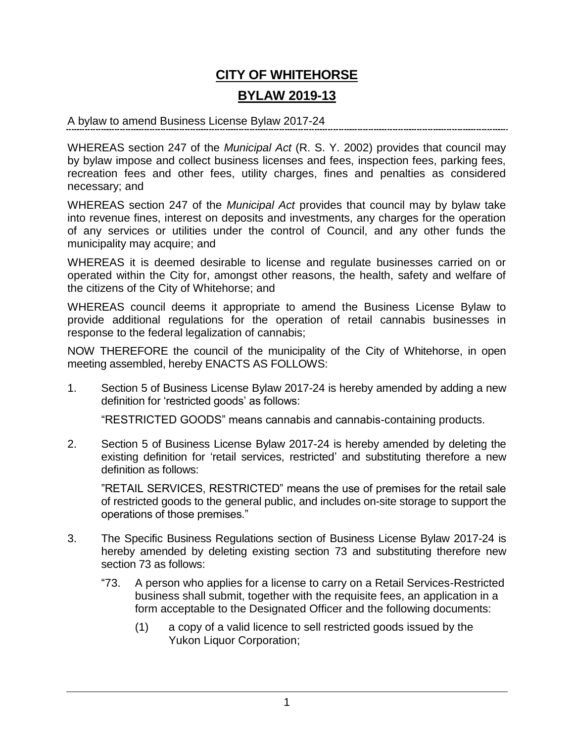## **CITY OF WHITEHORSE BYLAW 2019-13**

## A bylaw to amend Business License Bylaw 2017-24

WHEREAS section 247 of the *Municipal Act* (R. S. Y. 2002) provides that council may by bylaw impose and collect business licenses and fees, inspection fees, parking fees, recreation fees and other fees, utility charges, fines and penalties as considered necessary; and

WHEREAS section 247 of the *Municipal Act* provides that council may by bylaw take into revenue fines, interest on deposits and investments, any charges for the operation of any services or utilities under the control of Council, and any other funds the municipality may acquire; and

WHEREAS it is deemed desirable to license and regulate businesses carried on or operated within the City for, amongst other reasons, the health, safety and welfare of the citizens of the City of Whitehorse; and

WHEREAS council deems it appropriate to amend the Business License Bylaw to provide additional regulations for the operation of retail cannabis businesses in response to the federal legalization of cannabis;

NOW THEREFORE the council of the municipality of the City of Whitehorse, in open meeting assembled, hereby ENACTS AS FOLLOWS:

1. Section 5 of Business License Bylaw 2017-24 is hereby amended by adding a new definition for 'restricted goods' as follows:

"RESTRICTED GOODS" means cannabis and cannabis-containing products.

2. Section 5 of Business License Bylaw 2017-24 is hereby amended by deleting the existing definition for 'retail services, restricted' and substituting therefore a new definition as follows:

"RETAIL SERVICES, RESTRICTED" means the use of premises for the retail sale of restricted goods to the general public, and includes on-site storage to support the operations of those premises."

- 3. The Specific Business Regulations section of Business License Bylaw 2017-24 is hereby amended by deleting existing section 73 and substituting therefore new section 73 as follows:
	- "73. A person who applies for a license to carry on a Retail Services-Restricted business shall submit, together with the requisite fees, an application in a form acceptable to the Designated Officer and the following documents:
		- (1) a copy of a valid licence to sell restricted goods issued by the Yukon Liquor Corporation;